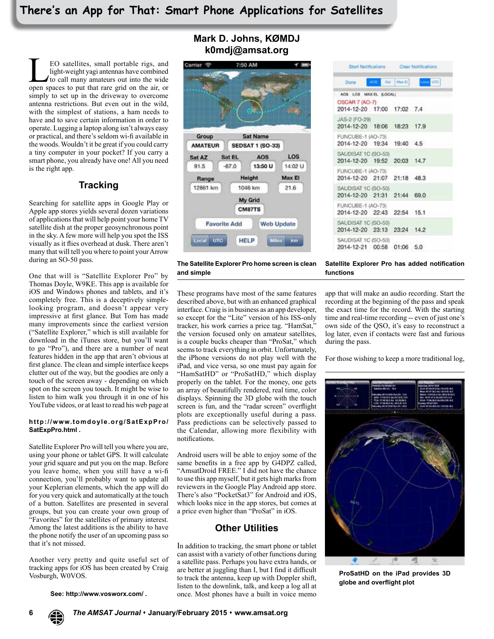**LEO** satellites, small portable rigs, and light-weight yagi antennas have combined to call many amateurs out into the wide open spaces to put that rare grid on the air, or light-weight yagi antennas have combined to call many amateurs out into the wide simply to set up in the driveway to overcome antenna restrictions. But even out in the wild, with the simplest of stations, a ham needs to have and to save certain information in order to operate. Lugging a laptop along isn't always easy or practical, and there's seldom wi-fi available in the woods. Wouldn't it be great if you could carry a tiny computer in your pocket? If you carry a smart phone, you already have one! All you need is the right app.

## **Tracking**

Searching for satellite apps in Google Play or Apple app stores yields several dozen variations of applications that will help point your home TV satellite dish at the proper geosynchronous point in the sky. A few more will help you spot the ISS visually as it flies overhead at dusk. There aren't many that will tell you where to point your Arrow during an SO-50 pass.

One that will is "Satellite Explorer Pro" by Thomas Doyle, W9KE. This app is available for iOS and Windows phones and tablets, and it's completely free. This is a deceptively simplelooking program, and doesn't appear very impressive at first glance. But Tom has made many improvements since the earliest version ("Satellite Explorer," which is still available for download in the iTunes store, but you'll want to go "Pro"), and there are a number of neat features hidden in the app that aren't obvious at first glance. The clean and simple interface keeps clutter out of the way, but the goodies are only a touch of the screen away - depending on which spot on the screen you touch. It might be wise to listen to him walk you through it in one of his YouTube videos, or at least to read his web page at

#### **http://www.tomdoyle.org/SatExpPro/ SatExpPro.html .**

Satellite Explorer Pro will tell you where you are, using your phone or tablet GPS. It will calculate your grid square and put you on the map. Before you leave home, when you still have a wi-fi connection, you'll probably want to update all your Keplerian elements, which the app will do for you very quick and automatically at the touch of a button. Satellites are presented in several groups, but you can create your own group of "Favorites" for the satellites of primary interest. Among the latest additions is the ability to have the phone notify the user of an upcoming pass so that it's not missed.

Another very pretty and quite useful set of tracking apps for iOS has been created by Craig Vosburgh, W0VOS.

**See: http://www.vosworx.com/ .**

### **Mark D. Johns, KØMDJ k0mdj@amsat.org**



|                                                    |               | Start Notifications. Clear Notifications. |                     |
|----------------------------------------------------|---------------|-------------------------------------------|---------------------|
| - Done                                             | ARS Sat Max B |                                           | <b>District UTC</b> |
| AOS LOS MAXEL (LOCAL)                              |               |                                           |                     |
| OSCAR 7 (AO-7)<br>2014-12-20 17:00 17:02 7.4       |               |                                           |                     |
| JAS-2 (FO-29)<br>2014-12-20 18:06 18:23 17.9       |               |                                           |                     |
| FUNCUBE-1 (AO-73)<br>2014-12-20 19:34 19:40 4.5    |               |                                           |                     |
| SAUDISAT 1C (SO-50)<br>2014-12-20 19:52 20:03 14.7 |               |                                           |                     |
| FUNCUBE-1 (AO-73)<br>2014-12-20 21:07 21:18 48.3   |               |                                           |                     |
| SAUDISAT 1C (SO-50)<br>2014-12-20 21:31 21:44 69.0 |               |                                           |                     |
| FUNCUBE-1 (AO-73)<br>2014-12-20 22:43 22:54 15.1   |               |                                           |                     |
| SAUDISAT 1C (SO-50)<br>2014-12-20 23:13 23:24 14.2 |               |                                           |                     |
| SAUDISAT 1C (SO-50)<br>2014-12-21 00:58 01:06 5.0  |               |                                           |                     |

**The Satellite Explorer Pro home screen is clean and simple**

These programs have most of the same features described above, but with an enhanced graphical interface. Craig is in business as an app developer, so except for the "Lite" version of his ISS-only tracker, his work carries a price tag. "HamSat," the version focused only on amateur satellites, is a couple bucks cheaper than "ProSat," which seems to track everything in orbit. Unfortunately, the iPhone versions do not play well with the iPad, and vice versa, so one must pay again for "HamSatHD" or "ProSatHD," which display properly on the tablet. For the money, one gets an array of beautifully rendered, real time, color displays. Spinning the 3D globe with the touch screen is fun, and the "radar screen" overflight plots are exceptionally useful during a pass. Pass predictions can be selectively passed to the Calendar, allowing more flexibility with notifications.

Android users will be able to enjoy some of the same benefits in a free app by G4DPZ called, "AmsatDroid FREE." I did not have the chance to use this app myself, but it gets high marks from reviewers in the Google Play Android app store. There's also "PocketSat3" for Android and iOS, which looks nice in the app stores, but comes at a price even higher than "ProSat" in iOS.

### **Other Utilities**

In addition to tracking, the smart phone or tablet can assist with a variety of other functions during a satellite pass. Perhaps you have extra hands, or are better at juggling than I, but I find it difficult to track the antenna, keep up with Doppler shift, listen to the downlink, talk, and keep a log all at once. Most phones have a built in voice memo

**Satellite Explorer Pro has added notification functions**

app that will make an audio recording. Start the recording at the beginning of the pass and speak the exact time for the record. With the starting time and real-time recording -- even of just one's own side of the QSO, it's easy to reconstruct a log later, even if contacts were fast and furious during the pass.

For those wishing to keep a more traditional log,



**ProSatHD on the iPad provides 3D globe and overflight plot**